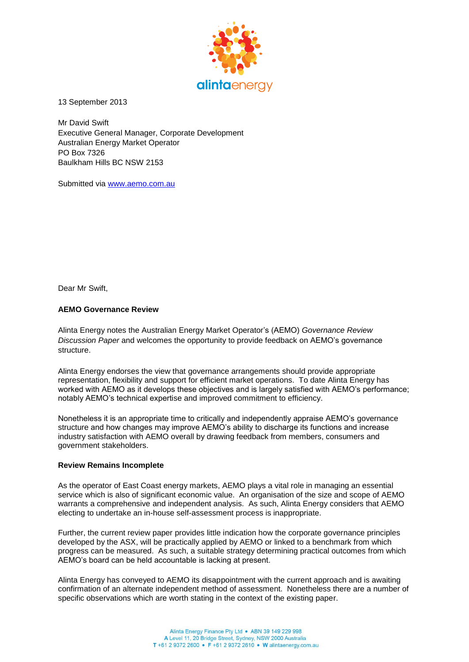

13 September 2013

Mr David Swift Executive General Manager, Corporate Development Australian Energy Market Operator PO Box 7326 Baulkham Hills BC NSW 2153

Submitted via [www.aemo.com.au](http://www.aemo.com.au/)

Dear Mr Swift,

### **AEMO Governance Review**

Alinta Energy notes the Australian Energy Market Operator's (AEMO) *Governance Review Discussion Paper* and welcomes the opportunity to provide feedback on AEMO's governance structure.

Alinta Energy endorses the view that governance arrangements should provide appropriate representation, flexibility and support for efficient market operations. To date Alinta Energy has worked with AEMO as it develops these objectives and is largely satisfied with AEMO's performance; notably AEMO's technical expertise and improved commitment to efficiency.

Nonetheless it is an appropriate time to critically and independently appraise AEMO's governance structure and how changes may improve AEMO's ability to discharge its functions and increase industry satisfaction with AEMO overall by drawing feedback from members, consumers and government stakeholders.

### **Review Remains Incomplete**

As the operator of East Coast energy markets, AEMO plays a vital role in managing an essential service which is also of significant economic value. An organisation of the size and scope of AEMO warrants a comprehensive and independent analysis. As such, Alinta Energy considers that AEMO electing to undertake an in-house self-assessment process is inappropriate.

Further, the current review paper provides little indication how the corporate governance principles developed by the ASX, will be practically applied by AEMO or linked to a benchmark from which progress can be measured. As such, a suitable strategy determining practical outcomes from which AEMO's board can be held accountable is lacking at present.

Alinta Energy has conveyed to AEMO its disappointment with the current approach and is awaiting confirmation of an alternate independent method of assessment. Nonetheless there are a number of specific observations which are worth stating in the context of the existing paper.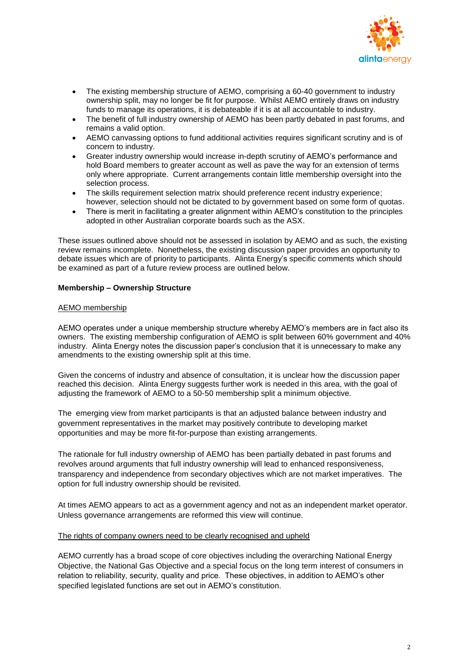

- The existing membership structure of AEMO, comprising a 60-40 government to industry ownership split, may no longer be fit for purpose. Whilst AEMO entirely draws on industry funds to manage its operations, it is debateable if it is at all accountable to industry.
- The benefit of full industry ownership of AEMO has been partly debated in past forums, and remains a valid option.
- AEMO canvassing options to fund additional activities requires significant scrutiny and is of concern to industry.
- Greater industry ownership would increase in-depth scrutiny of AEMO's performance and hold Board members to greater account as well as pave the way for an extension of terms only where appropriate. Current arrangements contain little membership oversight into the selection process.
- The skills requirement selection matrix should preference recent industry experience; however, selection should not be dictated to by government based on some form of quotas.
- There is merit in facilitating a greater alignment within AEMO's constitution to the principles adopted in other Australian corporate boards such as the ASX.

These issues outlined above should not be assessed in isolation by AEMO and as such, the existing review remains incomplete. Nonetheless, the existing discussion paper provides an opportunity to debate issues which are of priority to participants. Alinta Energy's specific comments which should be examined as part of a future review process are outlined below.

# **Membership – Ownership Structure**

### AEMO membership

AEMO operates under a unique membership structure whereby AEMO's members are in fact also its owners. The existing membership configuration of AEMO is split between 60% government and 40% industry. Alinta Energy notes the discussion paper's conclusion that it is unnecessary to make any amendments to the existing ownership split at this time.

Given the concerns of industry and absence of consultation, it is unclear how the discussion paper reached this decision. Alinta Energy suggests further work is needed in this area, with the goal of adjusting the framework of AEMO to a 50-50 membership split a minimum objective.

The emerging view from market participants is that an adjusted balance between industry and government representatives in the market may positively contribute to developing market opportunities and may be more fit-for-purpose than existing arrangements.

The rationale for full industry ownership of AEMO has been partially debated in past forums and revolves around arguments that full industry ownership will lead to enhanced responsiveness, transparency and independence from secondary objectives which are not market imperatives. The option for full industry ownership should be revisited.

At times AEMO appears to act as a government agency and not as an independent market operator. Unless governance arrangements are reformed this view will continue.

### The rights of company owners need to be clearly recognised and upheld

AEMO currently has a broad scope of core objectives including the overarching National Energy Objective, the National Gas Objective and a special focus on the long term interest of consumers in relation to reliability, security, quality and price. These objectives, in addition to AEMO's other specified legislated functions are set out in AEMO's constitution.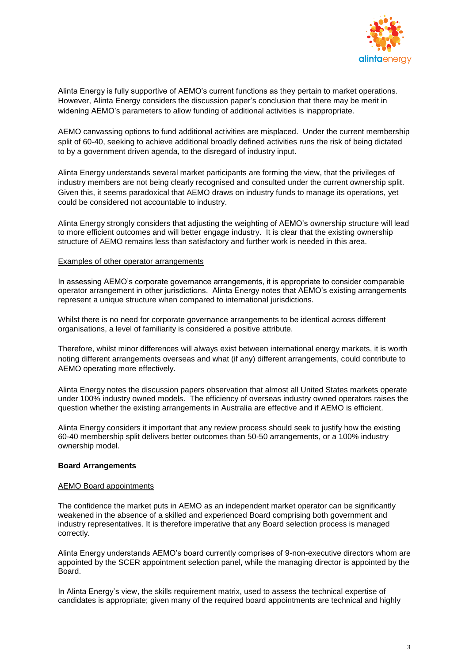

Alinta Energy is fully supportive of AEMO's current functions as they pertain to market operations. However, Alinta Energy considers the discussion paper's conclusion that there may be merit in widening AEMO's parameters to allow funding of additional activities is inappropriate.

AEMO canvassing options to fund additional activities are misplaced. Under the current membership split of 60-40, seeking to achieve additional broadly defined activities runs the risk of being dictated to by a government driven agenda, to the disregard of industry input.

Alinta Energy understands several market participants are forming the view, that the privileges of industry members are not being clearly recognised and consulted under the current ownership split. Given this, it seems paradoxical that AEMO draws on industry funds to manage its operations, yet could be considered not accountable to industry.

Alinta Energy strongly considers that adjusting the weighting of AEMO's ownership structure will lead to more efficient outcomes and will better engage industry. It is clear that the existing ownership structure of AEMO remains less than satisfactory and further work is needed in this area.

### Examples of other operator arrangements

In assessing AEMO's corporate governance arrangements, it is appropriate to consider comparable operator arrangement in other jurisdictions. Alinta Energy notes that AEMO's existing arrangements represent a unique structure when compared to international jurisdictions.

Whilst there is no need for corporate governance arrangements to be identical across different organisations, a level of familiarity is considered a positive attribute.

Therefore, whilst minor differences will always exist between international energy markets, it is worth noting different arrangements overseas and what (if any) different arrangements, could contribute to AEMO operating more effectively.

Alinta Energy notes the discussion papers observation that almost all United States markets operate under 100% industry owned models. The efficiency of overseas industry owned operators raises the question whether the existing arrangements in Australia are effective and if AEMO is efficient.

Alinta Energy considers it important that any review process should seek to justify how the existing 60-40 membership split delivers better outcomes than 50-50 arrangements, or a 100% industry ownership model.

# **Board Arrangements**

### AEMO Board appointments

The confidence the market puts in AEMO as an independent market operator can be significantly weakened in the absence of a skilled and experienced Board comprising both government and industry representatives. It is therefore imperative that any Board selection process is managed correctly.

Alinta Energy understands AEMO's board currently comprises of 9-non-executive directors whom are appointed by the SCER appointment selection panel, while the managing director is appointed by the Board.

In Alinta Energy's view, the skills requirement matrix, used to assess the technical expertise of candidates is appropriate; given many of the required board appointments are technical and highly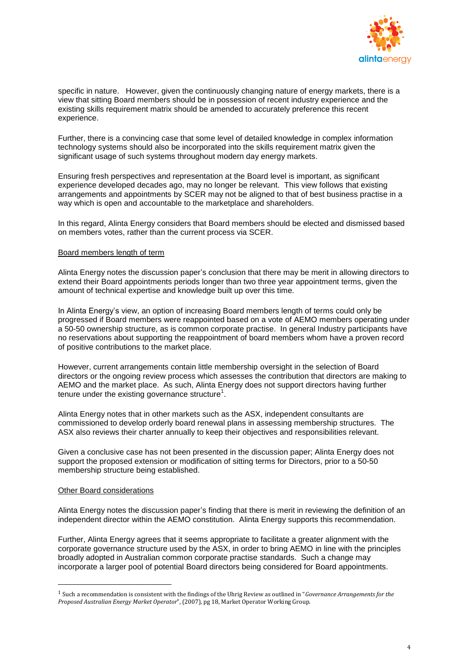

specific in nature. However, given the continuously changing nature of energy markets, there is a view that sitting Board members should be in possession of recent industry experience and the existing skills requirement matrix should be amended to accurately preference this recent experience.

Further, there is a convincing case that some level of detailed knowledge in complex information technology systems should also be incorporated into the skills requirement matrix given the significant usage of such systems throughout modern day energy markets.

Ensuring fresh perspectives and representation at the Board level is important, as significant experience developed decades ago, may no longer be relevant. This view follows that existing arrangements and appointments by SCER may not be aligned to that of best business practise in a way which is open and accountable to the marketplace and shareholders.

In this regard, Alinta Energy considers that Board members should be elected and dismissed based on members votes, rather than the current process via SCER.

### Board members length of term

Alinta Energy notes the discussion paper's conclusion that there may be merit in allowing directors to extend their Board appointments periods longer than two three year appointment terms, given the amount of technical expertise and knowledge built up over this time.

In Alinta Energy's view, an option of increasing Board members length of terms could only be progressed if Board members were reappointed based on a vote of AEMO members operating under a 50-50 ownership structure, as is common corporate practise. In general Industry participants have no reservations about supporting the reappointment of board members whom have a proven record of positive contributions to the market place.

However, current arrangements contain little membership oversight in the selection of Board directors or the ongoing review process which assesses the contribution that directors are making to AEMO and the market place. As such, Alinta Energy does not support directors having further tenure under the existing governance structure<sup>1</sup>.

Alinta Energy notes that in other markets such as the ASX, independent consultants are commissioned to develop orderly board renewal plans in assessing membership structures. The ASX also reviews their charter annually to keep their objectives and responsibilities relevant.

Given a conclusive case has not been presented in the discussion paper; Alinta Energy does not support the proposed extension or modification of sitting terms for Directors, prior to a 50-50 membership structure being established.

### Other Board considerations

l

Alinta Energy notes the discussion paper's finding that there is merit in reviewing the definition of an independent director within the AEMO constitution. Alinta Energy supports this recommendation.

Further, Alinta Energy agrees that it seems appropriate to facilitate a greater alignment with the corporate governance structure used by the ASX, in order to bring AEMO in line with the principles broadly adopted in Australian common corporate practise standards. Such a change may incorporate a larger pool of potential Board directors being considered for Board appointments.

<sup>1</sup> Such a recommendation is consistent with the findings of the Uhrig Review as outlined in "*Governance Arrangements for the Proposed Australian Energy Market Operator*", (2007), pg 18, Market Operator Working Group.